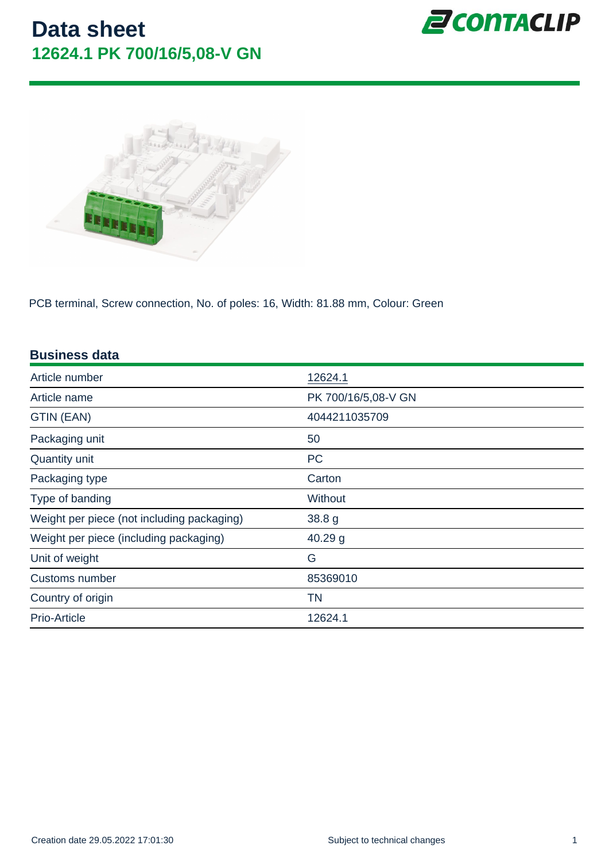PCB terminal, Screw connection, No. of poles: 16, Width: 81.88 mm, Colour: Green

| <b>Business data</b>                       |                     |
|--------------------------------------------|---------------------|
| Article number                             | 12624.1             |
| Article name                               | PK 700/16/5,08-V GN |
| GTIN (EAN)                                 | 4044211035709       |
| Packaging unit                             | 50                  |
| <b>Quantity unit</b>                       | <b>PC</b>           |
| Packaging type                             | Carton              |
| Type of banding                            | Without             |
| Weight per piece (not including packaging) | 38.8 g              |
| Weight per piece (including packaging)     | $40.29$ g           |
| Unit of weight                             | G                   |
| Customs number                             | 85369010            |
| Country of origin                          | ΤN                  |
| <b>Prio-Article</b>                        | 12624.1             |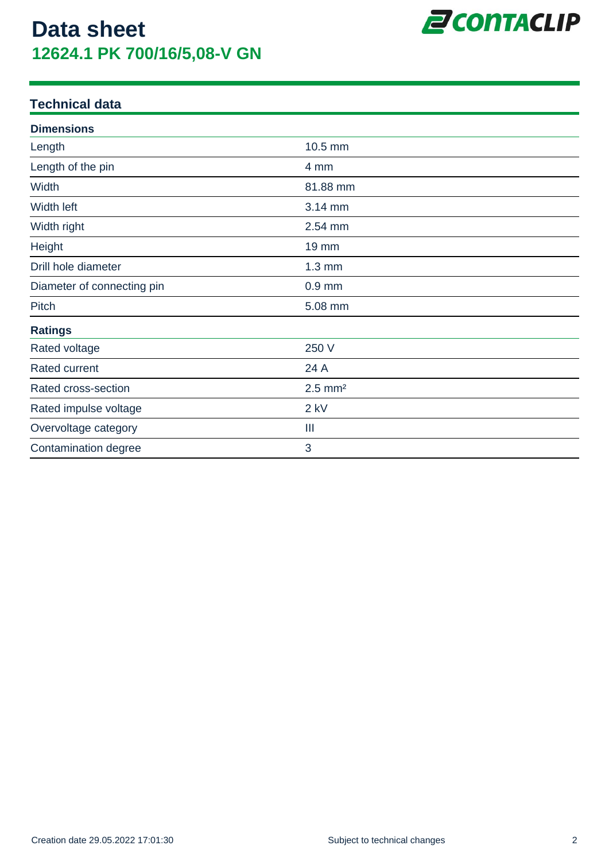

| <b>Dimensions</b>          |                       |  |
|----------------------------|-----------------------|--|
| Length                     | 10.5 mm               |  |
| Length of the pin          | 4 mm                  |  |
| Width                      | 81.88 mm              |  |
| Width left                 | 3.14 mm               |  |
| Width right                | 2.54 mm               |  |
| Height                     | <b>19 mm</b>          |  |
| Drill hole diameter        | $1.3 \text{ mm}$      |  |
| Diameter of connecting pin | $0.9$ mm              |  |
| Pitch                      | 5.08 mm               |  |
| <b>Ratings</b>             |                       |  |
| Rated voltage              | 250 V                 |  |
| Rated current              | 24 A                  |  |
| Rated cross-section        | $2.5$ mm <sup>2</sup> |  |
| Rated impulse voltage      | $2$ kV                |  |
| Overvoltage category       | Ш                     |  |
| Contamination degree       | 3                     |  |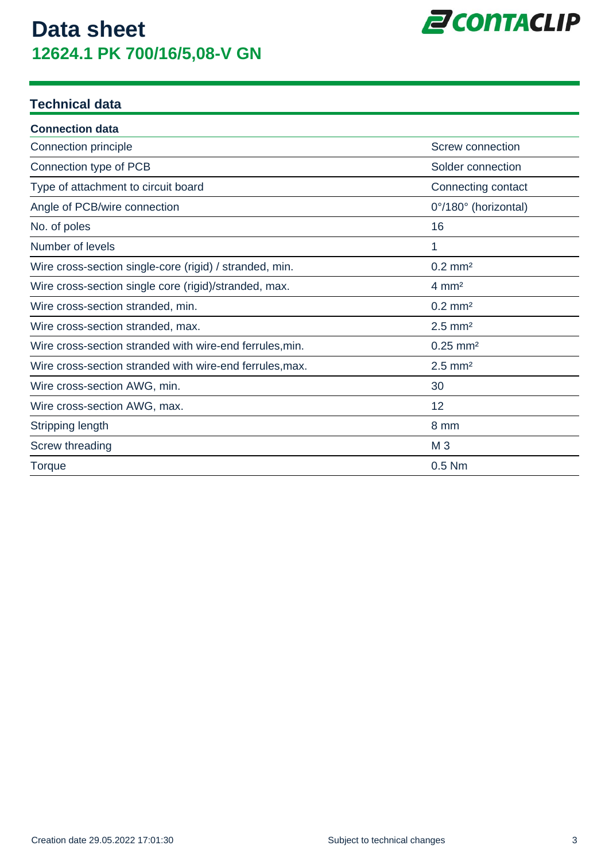

| <b>Connection data</b>                                   |                         |
|----------------------------------------------------------|-------------------------|
| Connection principle                                     | <b>Screw connection</b> |
| Connection type of PCB                                   | Solder connection       |
| Type of attachment to circuit board                      | Connecting contact      |
| Angle of PCB/wire connection                             | 0°/180° (horizontal)    |
| No. of poles                                             | 16                      |
| Number of levels                                         | 1                       |
| Wire cross-section single-core (rigid) / stranded, min.  | $0.2$ mm <sup>2</sup>   |
| Wire cross-section single core (rigid)/stranded, max.    | $4 \, \text{mm}^2$      |
| Wire cross-section stranded, min.                        | $0.2$ mm <sup>2</sup>   |
| Wire cross-section stranded, max.                        | $2.5$ mm <sup>2</sup>   |
| Wire cross-section stranded with wire-end ferrules, min. | $0.25$ mm <sup>2</sup>  |
| Wire cross-section stranded with wire-end ferrules, max. | $2.5$ mm <sup>2</sup>   |
| Wire cross-section AWG, min.                             | 30                      |
| Wire cross-section AWG, max.                             | 12                      |
| Stripping length                                         | 8 mm                    |
| Screw threading                                          | M <sub>3</sub>          |
| Torque                                                   | $0.5$ Nm                |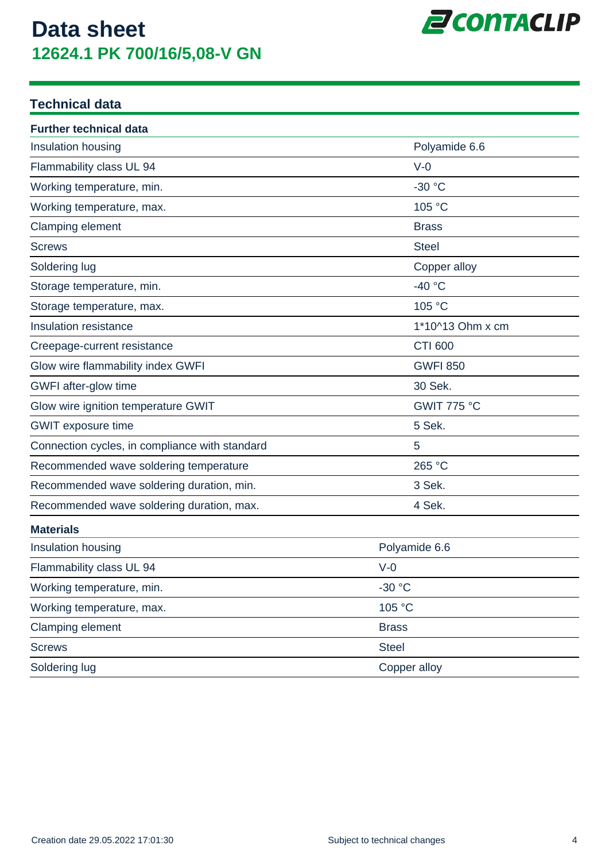

| <b>Further technical data</b>                  |                    |  |
|------------------------------------------------|--------------------|--|
| Insulation housing                             | Polyamide 6.6      |  |
| Flammability class UL 94                       | $V-0$              |  |
| Working temperature, min.                      | $-30 °C$           |  |
| Working temperature, max.                      | 105 °C             |  |
| Clamping element                               | <b>Brass</b>       |  |
| <b>Screws</b>                                  | <b>Steel</b>       |  |
| Soldering lug                                  | Copper alloy       |  |
| Storage temperature, min.                      | $-40 °C$           |  |
| Storage temperature, max.                      | 105 °C             |  |
| Insulation resistance                          | 1*10^13 Ohm x cm   |  |
| Creepage-current resistance                    | <b>CTI 600</b>     |  |
| Glow wire flammability index GWFI              | <b>GWFI 850</b>    |  |
| GWFI after-glow time                           | 30 Sek.            |  |
| Glow wire ignition temperature GWIT            | <b>GWIT 775 °C</b> |  |
| <b>GWIT</b> exposure time                      | 5 Sek.             |  |
| Connection cycles, in compliance with standard | 5                  |  |
| Recommended wave soldering temperature         | 265 °C             |  |
| Recommended wave soldering duration, min.      | 3 Sek.             |  |
| Recommended wave soldering duration, max.      | 4 Sek.             |  |
| <b>Materials</b>                               |                    |  |
| Insulation housing                             | Polyamide 6.6      |  |
| Flammability class UL 94                       | $V-0$              |  |
| Working temperature, min.                      | $-30 °C$           |  |
| Working temperature, max.                      | 105 °C             |  |
| Clamping element                               | <b>Brass</b>       |  |
| <b>Screws</b>                                  | <b>Steel</b>       |  |
| Soldering lug                                  | Copper alloy       |  |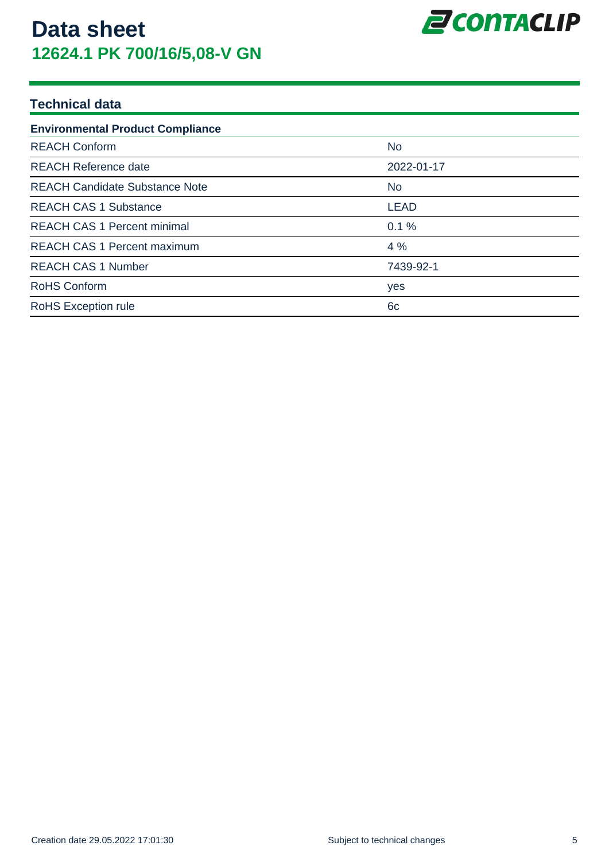

| <b>Environmental Product Compliance</b> |             |  |  |
|-----------------------------------------|-------------|--|--|
| <b>REACH Conform</b>                    | <b>No</b>   |  |  |
| <b>REACH Reference date</b>             | 2022-01-17  |  |  |
| <b>REACH Candidate Substance Note</b>   | No.         |  |  |
| <b>REACH CAS 1 Substance</b>            | <b>LEAD</b> |  |  |
| <b>REACH CAS 1 Percent minimal</b>      | 0.1%        |  |  |
| <b>REACH CAS 1 Percent maximum</b>      | 4%          |  |  |
| <b>REACH CAS 1 Number</b>               | 7439-92-1   |  |  |
| <b>RoHS Conform</b>                     | yes         |  |  |
| <b>RoHS Exception rule</b>              | 6c          |  |  |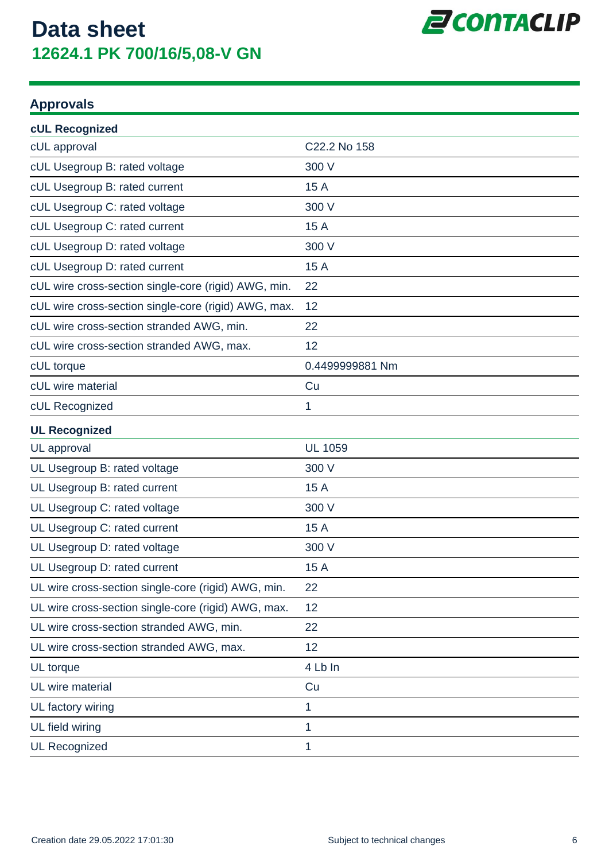

#### **Approvals**

| cUL Recognized                                       |                 |
|------------------------------------------------------|-----------------|
| cUL approval                                         | C22.2 No 158    |
| cUL Usegroup B: rated voltage                        | 300 V           |
| cUL Usegroup B: rated current                        | 15 A            |
| cUL Usegroup C: rated voltage                        | 300 V           |
| cUL Usegroup C: rated current                        | 15 A            |
| cUL Usegroup D: rated voltage                        | 300 V           |
| cUL Usegroup D: rated current                        | 15 A            |
| cUL wire cross-section single-core (rigid) AWG, min. | 22              |
| cUL wire cross-section single-core (rigid) AWG, max. | 12              |
| cUL wire cross-section stranded AWG, min.            | 22              |
| cUL wire cross-section stranded AWG, max.            | 12              |
| cUL torque                                           | 0.4499999881 Nm |
| cUL wire material                                    | Cu              |
| cUL Recognized                                       | 1               |
| <b>UL Recognized</b>                                 |                 |
| UL approval                                          | <b>UL 1059</b>  |
| UL Usegroup B: rated voltage                         | 300 V           |
| UL Usegroup B: rated current                         | 15 A            |
| UL Usegroup C: rated voltage                         | 300 V           |
| UL Usegroup C: rated current                         | 15 A            |
| UL Usegroup D: rated voltage                         | 300 V           |
| UL Usegroup D: rated current                         | 15 A            |
| UL wire cross-section single-core (rigid) AWG, min.  | 22              |
| UL wire cross-section single-core (rigid) AWG, max.  | 12              |
| UL wire cross-section stranded AWG, min.             | 22              |
| UL wire cross-section stranded AWG, max.             | 12              |
| UL torque                                            | 4 Lb In         |
| UL wire material                                     | Cu              |
| UL factory wiring                                    | 1               |
| UL field wiring                                      | 1               |
| <b>UL Recognized</b>                                 | 1               |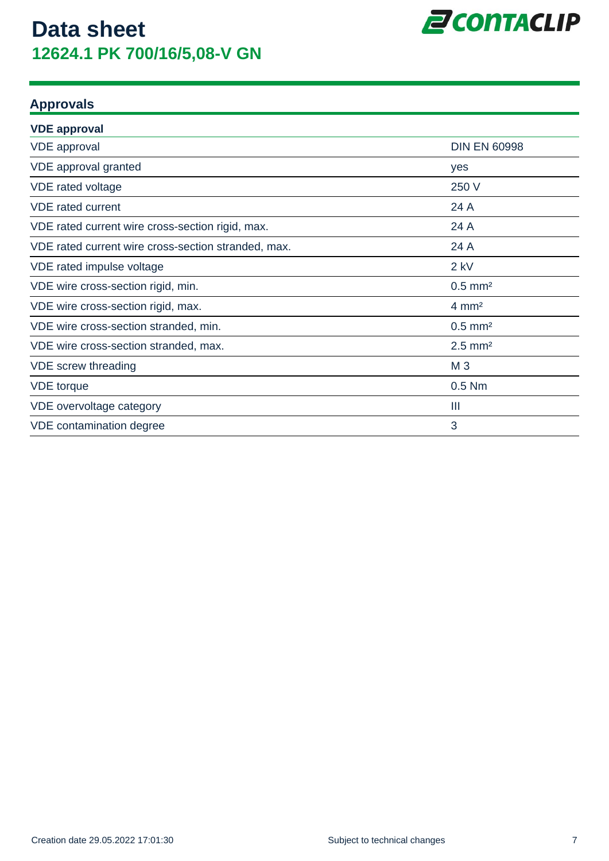

#### **Approvals**

| <b>VDE approval</b>                                 |                       |
|-----------------------------------------------------|-----------------------|
| <b>VDE</b> approval                                 | <b>DIN EN 60998</b>   |
| VDE approval granted                                | yes                   |
| VDE rated voltage                                   | 250 V                 |
| <b>VDE</b> rated current                            | 24 A                  |
| VDE rated current wire cross-section rigid, max.    | 24 A                  |
| VDE rated current wire cross-section stranded, max. | 24 A                  |
| VDE rated impulse voltage                           | $2$ kV                |
| VDE wire cross-section rigid, min.                  | $0.5$ mm <sup>2</sup> |
| VDE wire cross-section rigid, max.                  | $4 \, \text{mm}^2$    |
| VDE wire cross-section stranded, min.               | $0.5$ mm <sup>2</sup> |
| VDE wire cross-section stranded, max.               | $2.5$ mm <sup>2</sup> |
| VDE screw threading                                 | M <sub>3</sub>        |
| <b>VDE</b> torque                                   | $0.5$ Nm              |
| VDE overvoltage category                            | Ш                     |
| VDE contamination degree                            | 3                     |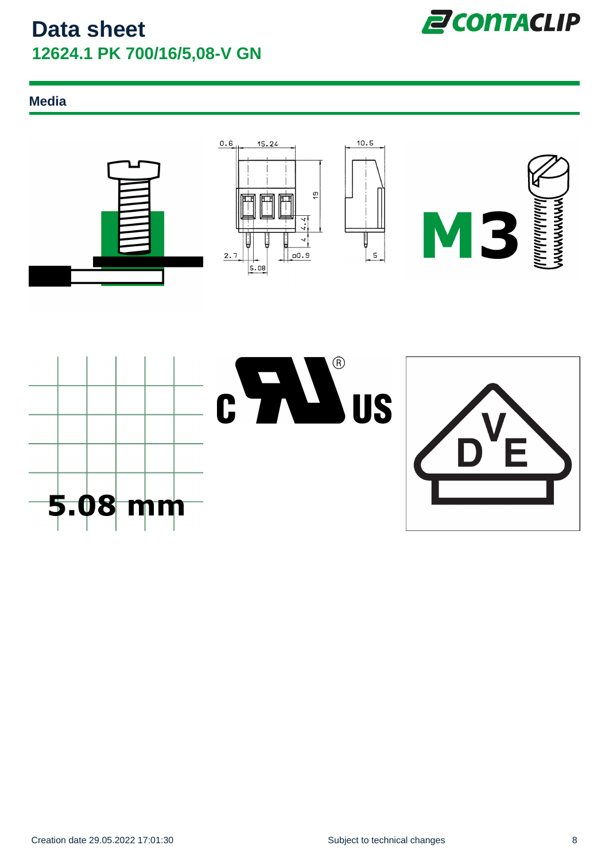

#### **Media**